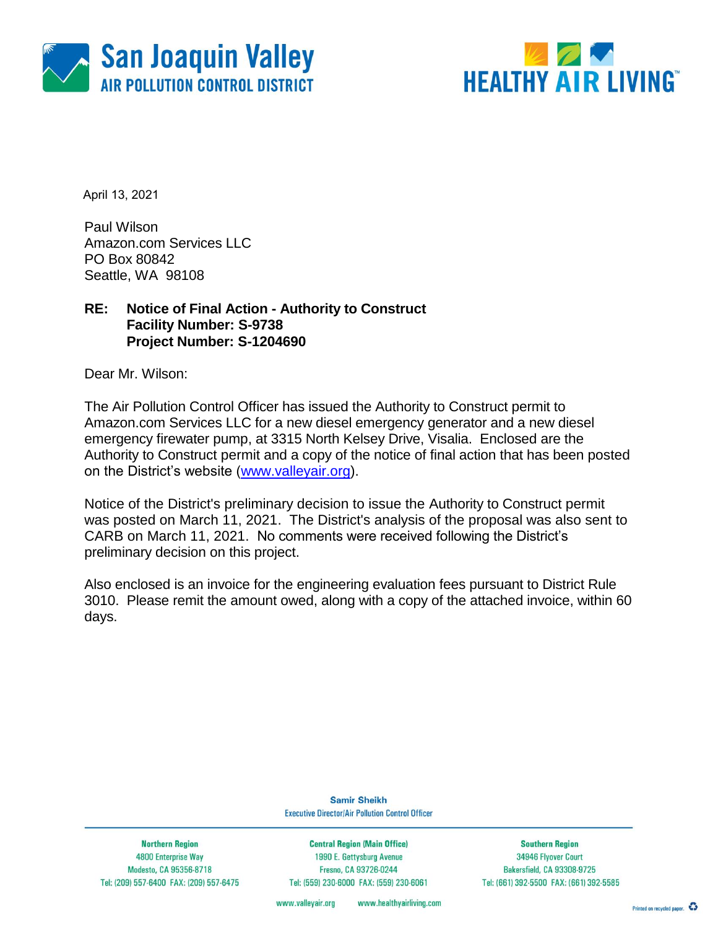



April 13, 2021

Paul Wilson Amazon.com Services LLC PO Box 80842 Seattle, WA 98108

### **RE: Notice of Final Action - Authority to Construct Facility Number: S-9738 Project Number: S-1204690**

Dear Mr. Wilson:

The Air Pollution Control Officer has issued the Authority to Construct permit to Amazon.com Services LLC for a new diesel emergency generator and a new diesel emergency firewater pump, at 3315 North Kelsey Drive, Visalia. Enclosed are the Authority to Construct permit and a copy of the notice of final action that has been posted on the District's website [\(www.valleyair.org\)](http://www.valleyair.org/).

Notice of the District's preliminary decision to issue the Authority to Construct permit was posted on March 11, 2021. The District's analysis of the proposal was also sent to CARB on March 11, 2021. No comments were received following the District's preliminary decision on this project.

Also enclosed is an invoice for the engineering evaluation fees pursuant to District Rule 3010. Please remit the amount owed, along with a copy of the attached invoice, within 60 days.

> **Samir Sheikh Executive Director/Air Pollution Control Officer**

**Northern Region** 4800 Enterprise Way Modesto, CA 95356-8718 Tel: (209) 557-6400 FAX: (209) 557-6475

**Central Region (Main Office)** 1990 E. Gettysburg Avenue Fresno, CA 93726-0244 Tel: (559) 230-6000 FAX: (559) 230-6061

**Southern Region** 34946 Flyover Court Bakersfield, CA 93308-9725 Tel: (661) 392-5500 FAX: (661) 392-5585

www.valleyair.org www.healthyairliving.com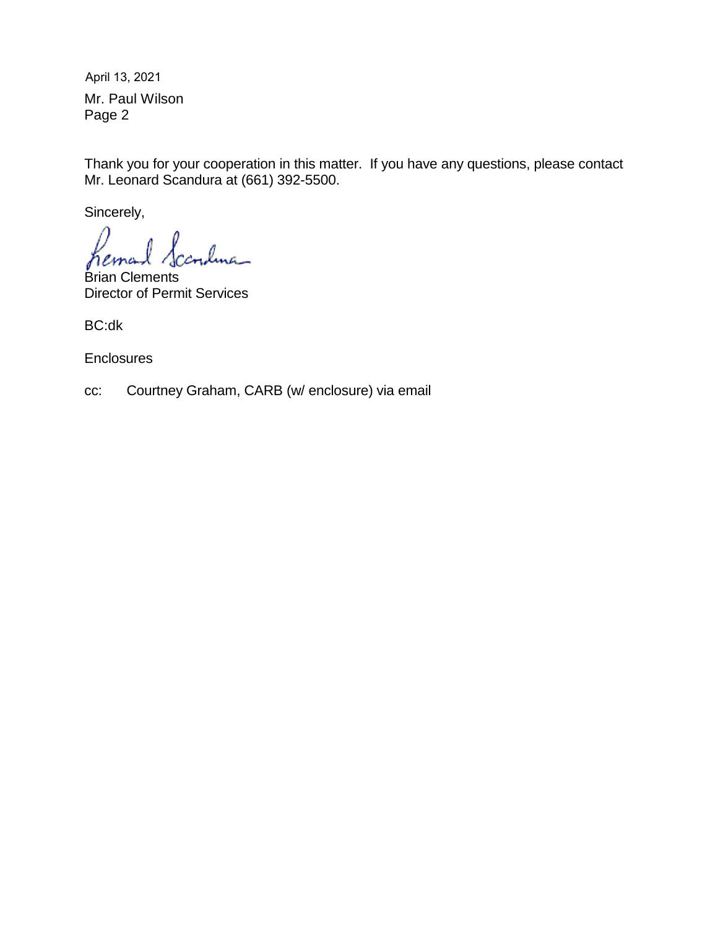Mr. Paul Wilson Page 2 April 13, 2021

Thank you for your cooperation in this matter. If you have any questions, please contact Mr. Leonard Scandura at (661) 392-5500.

Sincerely,

<u>dma </u> hema

Brian Clements Director of Permit Services

BC:dk

**Enclosures** 

cc: Courtney Graham, CARB (w/ enclosure) via email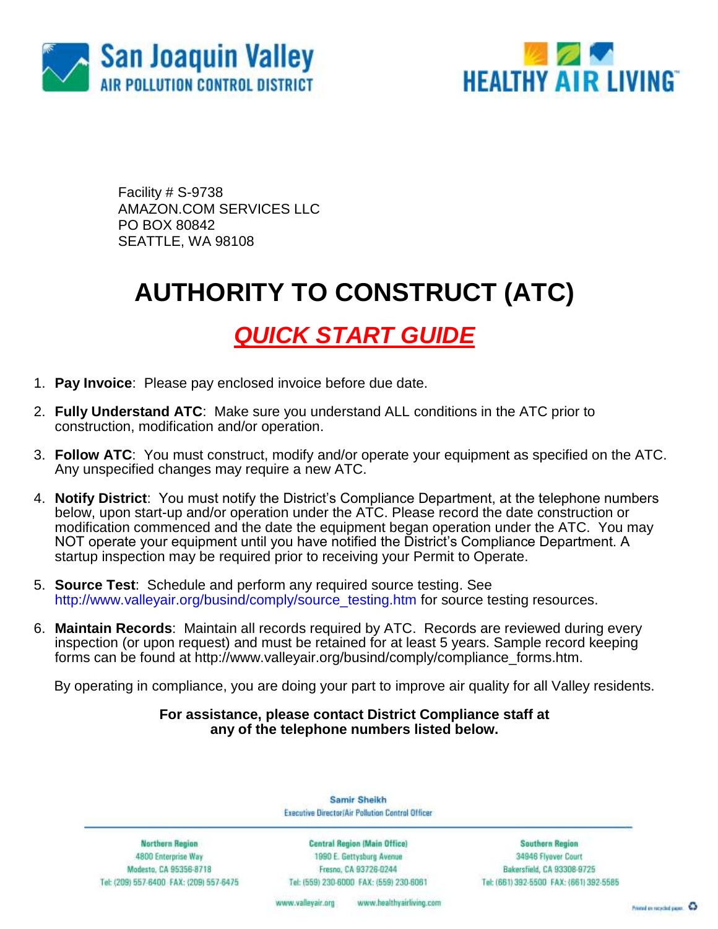



Facility # S-9738 AMAZON.COM SERVICES LLC PO BOX 80842 SEATTLE, WA 98108

## **AUTHORITY TO CONSTRUCT (ATC)**

## *QUICK START GUIDE*

- 1. **Pay Invoice**: Please pay enclosed invoice before due date.
- 2. **Fully Understand ATC**: Make sure you understand ALL conditions in the ATC prior to construction, modification and/or operation.
- 3. **Follow ATC**: You must construct, modify and/or operate your equipment as specified on the ATC. Any unspecified changes may require a new ATC.
- 4. **Notify District**: You must notify the District's Compliance Department, at the telephone numbers below, upon start-up and/or operation under the ATC. Please record the date construction or modification commenced and the date the equipment began operation under the ATC. You may NOT operate your equipment until you have notified the District's Compliance Department. A startup inspection may be required prior to receiving your Permit to Operate.
- 5. **Source Test**: Schedule and perform any required source testing. See [http://www.valleyair.org/busind/comply/source\\_testing.htm](http://www.valleyair.org/busind/comply/source_testing.htm) for source testing resources.
- 6. **Maintain Records**:Maintain all records required by ATC. Records are reviewed during every inspection (or upon request) and must be retained for at least 5 years. Sample record keeping forms can be found at http://www.valleyair.org/busind/comply/compliance\_forms.htm.

By operating in compliance, you are doing your part to improve air quality for all Valley residents.

### **For assistance, please contact District Compliance staff at any of the telephone numbers listed below.**

Samir Sheikh Executive Director/Air Pollution Control Officer

**Northern Region** 4800 Enterprise Way Modesto, CA 95356-8718 Tel: (209) 557-6400 FAX: (209) 557-6475

Central Region (Main Office) 1990 E. Gettysburg Avenue Fresna, CA 93726-0244 Tel: (559) 230-6000 FAX: (559) 230-6061

**Southern Region** 34946 Flyover Court Bakersfield, CA 93308-9725 Tel: (661) 392-5500 FAX: (661) 392-5585

www.bealthyairliving.com www.valleyair.org

Preced on recycled paper. 43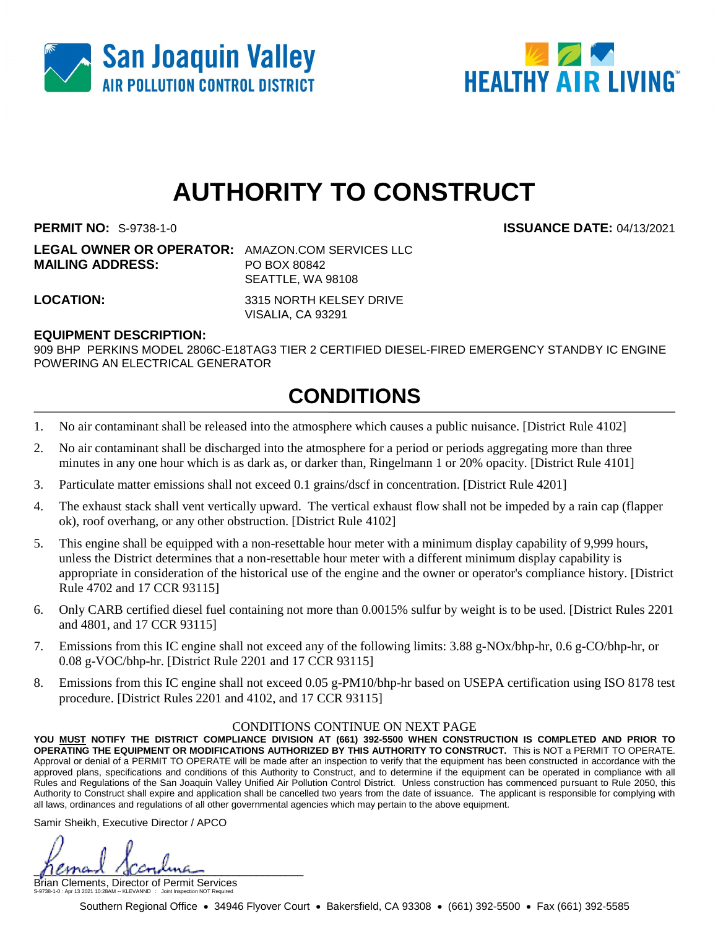



# **AUTHORITY TO CONSTRUCT**

**PERMIT NO:** S-9738-1-0 **ISSUANCE DATE:** 04/13/2021

**LEGAL OWNER OR OPERATOR:** AMAZON.COM SERVICES LLC **MAILING ADDRESS:** PO BOX 80842 SEATTLE, WA 98108

**LOCATION:** 3315 NORTH KELSEY DRIVE VISALIA, CA 93291

### **EQUIPMENT DESCRIPTION:**

909 BHP PERKINS MODEL 2806C-E18TAG3 TIER 2 CERTIFIED DIESEL-FIRED EMERGENCY STANDBY IC ENGINE POWERING AN ELECTRICAL GENERATOR

### **CONDITIONS**

- 1. No air contaminant shall be released into the atmosphere which causes a public nuisance. [District Rule 4102]
- 2. No air contaminant shall be discharged into the atmosphere for a period or periods aggregating more than three minutes in any one hour which is as dark as, or darker than, Ringelmann 1 or 20% opacity. [District Rule 4101]
- 3. Particulate matter emissions shall not exceed 0.1 grains/dscf in concentration. [District Rule 4201]
- 4. The exhaust stack shall vent vertically upward. The vertical exhaust flow shall not be impeded by a rain cap (flapper ok), roof overhang, or any other obstruction. [District Rule 4102]
- 5. This engine shall be equipped with a non-resettable hour meter with a minimum display capability of 9,999 hours, unless the District determines that a non-resettable hour meter with a different minimum display capability is appropriate in consideration of the historical use of the engine and the owner or operator's compliance history. [District Rule 4702 and 17 CCR 93115]
- 6. Only CARB certified diesel fuel containing not more than 0.0015% sulfur by weight is to be used. [District Rules 2201 and 4801, and 17 CCR 93115]
- 7. Emissions from this IC engine shall not exceed any of the following limits: 3.88 g-NOx/bhp-hr, 0.6 g-CO/bhp-hr, or 0.08 g-VOC/bhp-hr. [District Rule 2201 and 17 CCR 93115]
- 8. Emissions from this IC engine shall not exceed 0.05 g-PM10/bhp-hr based on USEPA certification using ISO 8178 test procedure. [District Rules 2201 and 4102, and 17 CCR 93115]

#### CONDITIONS CONTINUE ON NEXT PAGE

**YOU MUST NOTIFY THE DISTRICT COMPLIANCE DIVISION AT (661) 392-5500 WHEN CONSTRUCTION IS COMPLETED AND PRIOR TO OPERATING THE EQUIPMENT OR MODIFICATIONS AUTHORIZED BY THIS AUTHORITY TO CONSTRUCT.** This is NOT a PERMIT TO OPERATE. Approval or denial of a PERMIT TO OPERATE will be made after an inspection to verify that the equipment has been constructed in accordance with the approved plans, specifications and conditions of this Authority to Construct, and to determine if the equipment can be operated in compliance with all Rules and Regulations of the San Joaquin Valley Unified Air Pollution Control District. Unless construction has commenced pursuant to Rule 2050, this Authority to Construct shall expire and application shall be cancelled two years from the date of issuance. The applicant is responsible for complying with all laws, ordinances and regulations of all other governmental agencies which may pertain to the above equipment.

Samir Sheikh, Executive Director / APCO

permant (scondina

Brian Clements, Director of Permit Services S-9738-1-0 : Apr 13 2021 10:28AM -- KLEVANND : Joint Inspection NOT Required

Southern Regional Office • 34946 Flyover Court • Bakersfield, CA 93308 • (661) 392-5500 • Fax (661) 392-5585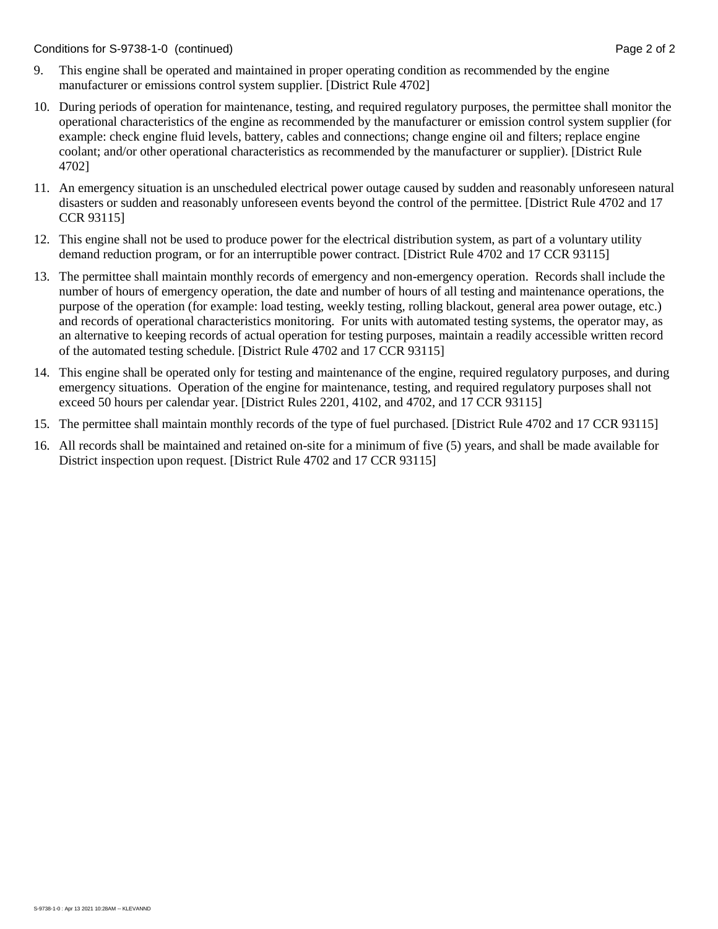- 9. This engine shall be operated and maintained in proper operating condition as recommended by the engine manufacturer or emissions control system supplier. [District Rule 4702]
- 10. During periods of operation for maintenance, testing, and required regulatory purposes, the permittee shall monitor the operational characteristics of the engine as recommended by the manufacturer or emission control system supplier (for example: check engine fluid levels, battery, cables and connections; change engine oil and filters; replace engine coolant; and/or other operational characteristics as recommended by the manufacturer or supplier). [District Rule 4702]
- 11. An emergency situation is an unscheduled electrical power outage caused by sudden and reasonably unforeseen natural disasters or sudden and reasonably unforeseen events beyond the control of the permittee. [District Rule 4702 and 17 CCR 93115]
- 12. This engine shall not be used to produce power for the electrical distribution system, as part of a voluntary utility demand reduction program, or for an interruptible power contract. [District Rule 4702 and 17 CCR 93115]
- 13. The permittee shall maintain monthly records of emergency and non-emergency operation. Records shall include the number of hours of emergency operation, the date and number of hours of all testing and maintenance operations, the purpose of the operation (for example: load testing, weekly testing, rolling blackout, general area power outage, etc.) and records of operational characteristics monitoring. For units with automated testing systems, the operator may, as an alternative to keeping records of actual operation for testing purposes, maintain a readily accessible written record of the automated testing schedule. [District Rule 4702 and 17 CCR 93115]
- 14. This engine shall be operated only for testing and maintenance of the engine, required regulatory purposes, and during emergency situations. Operation of the engine for maintenance, testing, and required regulatory purposes shall not exceed 50 hours per calendar year. [District Rules 2201, 4102, and 4702, and 17 CCR 93115]
- 15. The permittee shall maintain monthly records of the type of fuel purchased. [District Rule 4702 and 17 CCR 93115]
- 16. All records shall be maintained and retained on-site for a minimum of five (5) years, and shall be made available for District inspection upon request. [District Rule 4702 and 17 CCR 93115]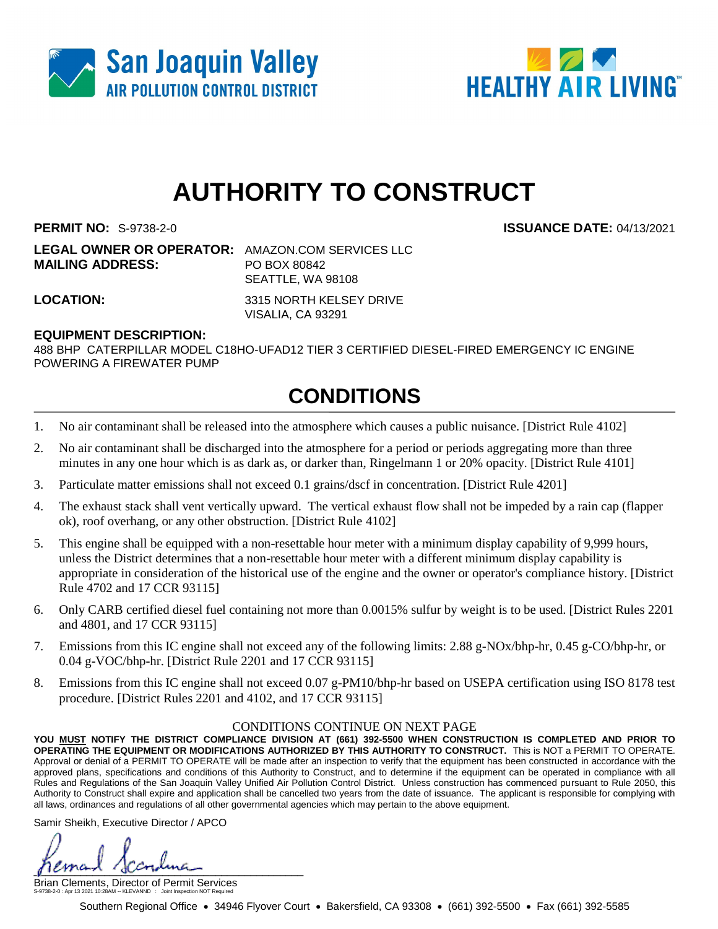



# **AUTHORITY TO CONSTRUCT**

**PERMIT NO:** S-9738-2-0 **ISSUANCE DATE:** 04/13/2021

**LEGAL OWNER OR OPERATOR:** AMAZON.COM SERVICES LLC **MAILING ADDRESS:** PO BOX 80842 SEATTLE, WA 98108

**LOCATION:** 3315 NORTH KELSEY DRIVE VISALIA, CA 93291

### **EQUIPMENT DESCRIPTION:**

488 BHP CATERPILLAR MODEL C18HO-UFAD12 TIER 3 CERTIFIED DIESEL-FIRED EMERGENCY IC ENGINE POWERING A FIREWATER PUMP

### **CONDITIONS**

- 1. No air contaminant shall be released into the atmosphere which causes a public nuisance. [District Rule 4102]
- 2. No air contaminant shall be discharged into the atmosphere for a period or periods aggregating more than three minutes in any one hour which is as dark as, or darker than, Ringelmann 1 or 20% opacity. [District Rule 4101]
- 3. Particulate matter emissions shall not exceed 0.1 grains/dscf in concentration. [District Rule 4201]
- 4. The exhaust stack shall vent vertically upward. The vertical exhaust flow shall not be impeded by a rain cap (flapper ok), roof overhang, or any other obstruction. [District Rule 4102]
- 5. This engine shall be equipped with a non-resettable hour meter with a minimum display capability of 9,999 hours, unless the District determines that a non-resettable hour meter with a different minimum display capability is appropriate in consideration of the historical use of the engine and the owner or operator's compliance history. [District Rule 4702 and 17 CCR 93115]
- 6. Only CARB certified diesel fuel containing not more than 0.0015% sulfur by weight is to be used. [District Rules 2201 and 4801, and 17 CCR 93115]
- 7. Emissions from this IC engine shall not exceed any of the following limits: 2.88 g-NOx/bhp-hr, 0.45 g-CO/bhp-hr, or 0.04 g-VOC/bhp-hr. [District Rule 2201 and 17 CCR 93115]
- 8. Emissions from this IC engine shall not exceed 0.07 g-PM10/bhp-hr based on USEPA certification using ISO 8178 test procedure. [District Rules 2201 and 4102, and 17 CCR 93115]

#### CONDITIONS CONTINUE ON NEXT PAGE

**YOU MUST NOTIFY THE DISTRICT COMPLIANCE DIVISION AT (661) 392-5500 WHEN CONSTRUCTION IS COMPLETED AND PRIOR TO OPERATING THE EQUIPMENT OR MODIFICATIONS AUTHORIZED BY THIS AUTHORITY TO CONSTRUCT.** This is NOT a PERMIT TO OPERATE. Approval or denial of a PERMIT TO OPERATE will be made after an inspection to verify that the equipment has been constructed in accordance with the approved plans, specifications and conditions of this Authority to Construct, and to determine if the equipment can be operated in compliance with all Rules and Regulations of the San Joaquin Valley Unified Air Pollution Control District. Unless construction has commenced pursuant to Rule 2050, this Authority to Construct shall expire and application shall be cancelled two years from the date of issuance. The applicant is responsible for complying with all laws, ordinances and regulations of all other governmental agencies which may pertain to the above equipment.

Samir Sheikh, Executive Director / APCO

 $\mu$ 

Brian Clements, Director of Permit Services S-9738-2-0 : Apr 13 2021 10:28AM -- KLEVANND : Joint Inspection NOT Required

Southern Regional Office • 34946 Flyover Court • Bakersfield, CA 93308 • (661) 392-5500 • Fax (661) 392-5585